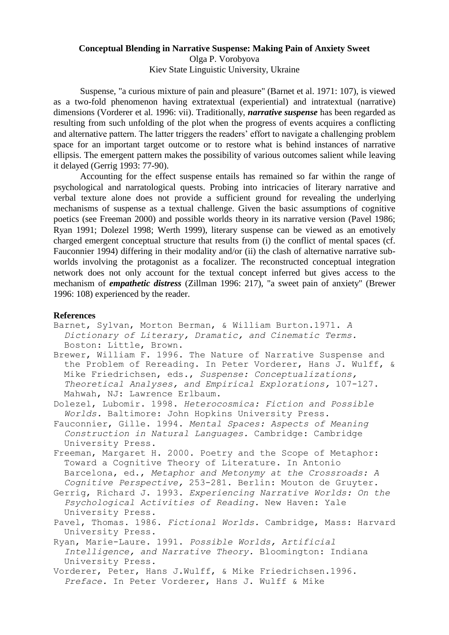## **Conceptual Blending in Narrative Suspense: Making Pain of Anxiety Sweet** Olga P. Vorobyova Kiev State Linguistic University, Ukraine

Suspense, "a curious mixture of pain and pleasure" (Barnet et al. 1971: 107), is viewed as a two-fold phenomenon having extratextual (experiential) and intratextual (narrative) dimensions (Vorderer et al. 1996: vii). Traditionally, *narrative suspense* has been regarded as resulting from such unfolding of the plot when the progress of events acquires a conflicting and alternative pattern. The latter triggers the readers' effort to navigate a challenging problem space for an important target outcome or to restore what is behind instances of narrative ellipsis. The emergent pattern makes the possibility of various outcomes salient while leaving it delayed (Gerrig 1993: 77-90).

Accounting for the effect suspense entails has remained so far within the range of psychological and narratological quests. Probing into intricacies of literary narrative and verbal texture alone does not provide a sufficient ground for revealing the underlying mechanisms of suspense as a textual challenge. Given the basic assumptions of cognitive poetics (see Freeman 2000) and possible worlds theory in its narrative version (Pavel 1986; Ryan 1991; Dolezel 1998; Werth 1999), literary suspense can be viewed as an emotively charged emergent conceptual structure that results from (i) the conflict of mental spaces (cf. Fauconnier 1994) differing in their modality and/or (ii) the clash of alternative narrative subworlds involving the protagonist as a focalizer. The reconstructed conceptual integration network does not only account for the textual concept inferred but gives access to the mechanism of *empathetic distress* (Zillman 1996: 217), "a sweet pain of anxiety" (Brewer 1996: 108) experienced by the reader.

## **References**

- Barnet, Sylvan, Morton Berman, & William Burton.1971. *A Dictionary of Literary, Dramatic, and Cinematic Terms.*  Boston: Little, Brown.
- Brewer, William F. 1996. The Nature of Narrative Suspense and the Problem of Rereading. In Peter Vorderer, Hans J. Wulff, & Mike Friedrichsen, eds., *Suspense: Conceptualizations, Theoretical Analyses, and Empirical Explorations,* 107-127. Mahwah, NJ: Lawrence Erlbaum.
- Dolezel, Lubomir. 1998. *Heterocosmica: Fiction and Possible Worlds.* Baltimore: John Hopkins University Press.
- Fauconnier, Gille. 1994. *Mental Spaces: Aspects of Meaning Construction in Natural Languages.* Cambridge: Cambridge University Press.
- Freeman, Margaret H. 2000. Poetry and the Scope of Metaphor: Toward a Cognitive Theory of Literature. In Antonio Barcelona, ed., *Metaphor and Metonymy at the Crossroads: A Cognitive Perspective,* 253-281. Berlin: Mouton de Gruyter.
- Gerrig, Richard J. 1993. *Experiencing Narrative Worlds: On the Psychological Activities of Reading.* New Haven: Yale University Press.
- Pavel, Thomas. 1986. *Fictional Worlds.* Cambridge, Mass: Harvard University Press.
- Ryan, Marie-Laure. 1991. *Possible Worlds, Artificial Intelligence, and Narrative Theory.* Bloomington: Indiana University Press.
- Vorderer, Peter, Hans J.Wulff, & Mike Friedrichsen.1996. *Preface.* In Peter Vorderer, Hans J. Wulff & Mike